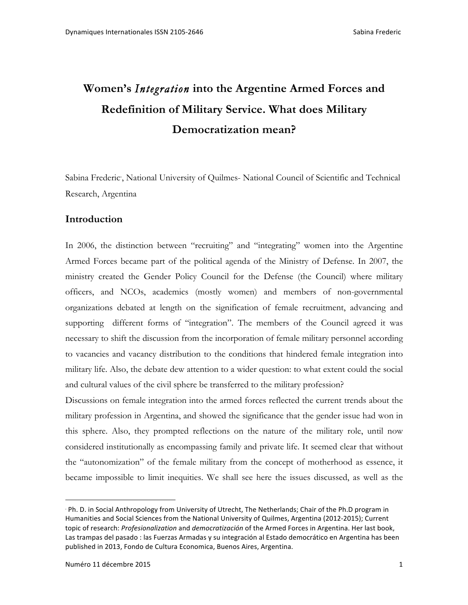# **Women's** *Integration* **into the Argentine Armed Forces and Redefinition of Military Service. What does Military Democratization mean?**

Sabina Frederic∙, National University of Quilmes- National Council of Scientific and Technical Research, Argentina

### **Introduction**

In 2006, the distinction between "recruiting" and "integrating" women into the Argentine Armed Forces became part of the political agenda of the Ministry of Defense. In 2007, the ministry created the Gender Policy Council for the Defense (the Council) where military officers, and NCOs, academics (mostly women) and members of non-governmental organizations debated at length on the signification of female recruitment, advancing and supporting different forms of "integration". The members of the Council agreed it was necessary to shift the discussion from the incorporation of female military personnel according to vacancies and vacancy distribution to the conditions that hindered female integration into military life. Also, the debate dew attention to a wider question: to what extent could the social and cultural values of the civil sphere be transferred to the military profession?

Discussions on female integration into the armed forces reflected the current trends about the military profession in Argentina, and showed the significance that the gender issue had won in this sphere. Also, they prompted reflections on the nature of the military role, until now considered institutionally as encompassing family and private life. It seemed clear that without the "autonomization" of the female military from the concept of motherhood as essence, it became impossible to limit inequities. We shall see here the issues discussed, as well as the

**<sup>⋅</sup> Ph. D.** in Social Anthropology from University of Utrecht, The Netherlands; Chair of the Ph.D program in Humanities and Social Sciences from the National University of Quilmes, Argentina (2012-2015); Current topic of research: *Profesionalization* and *democratización* of the Armed Forces in Argentina. Her last book, Las trampas del pasado : las Fuerzas Armadas y su integración al Estado democrático en Argentina has been published in 2013, Fondo de Cultura Economica, Buenos Aires, Argentina.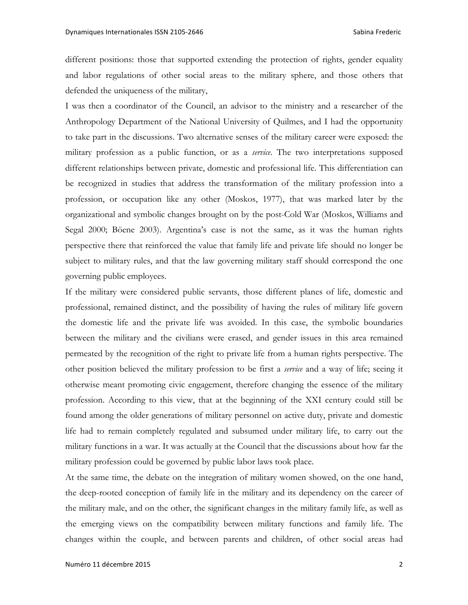different positions: those that supported extending the protection of rights, gender equality and labor regulations of other social areas to the military sphere, and those others that defended the uniqueness of the military,

I was then a coordinator of the Council, an advisor to the ministry and a researcher of the Anthropology Department of the National University of Quilmes, and I had the opportunity to take part in the discussions. Two alternative senses of the military career were exposed: the military profession as a public function, or as a *service*. The two interpretations supposed different relationships between private, domestic and professional life. This differentiation can be recognized in studies that address the transformation of the military profession into a profession, or occupation like any other (Moskos, 1977), that was marked later by the organizational and symbolic changes brought on by the post-Cold War (Moskos, Williams and Segal 2000; Böene 2003). Argentina's case is not the same, as it was the human rights perspective there that reinforced the value that family life and private life should no longer be subject to military rules, and that the law governing military staff should correspond the one governing public employees.

If the military were considered public servants, those different planes of life, domestic and professional, remained distinct, and the possibility of having the rules of military life govern the domestic life and the private life was avoided. In this case, the symbolic boundaries between the military and the civilians were erased, and gender issues in this area remained permeated by the recognition of the right to private life from a human rights perspective. The other position believed the military profession to be first a *service* and a way of life; seeing it otherwise meant promoting civic engagement, therefore changing the essence of the military profession. According to this view, that at the beginning of the XXI century could still be found among the older generations of military personnel on active duty, private and domestic life had to remain completely regulated and subsumed under military life, to carry out the military functions in a war. It was actually at the Council that the discussions about how far the military profession could be governed by public labor laws took place.

At the same time, the debate on the integration of military women showed, on the one hand, the deep-rooted conception of family life in the military and its dependency on the career of the military male, and on the other, the significant changes in the military family life, as well as the emerging views on the compatibility between military functions and family life. The changes within the couple, and between parents and children, of other social areas had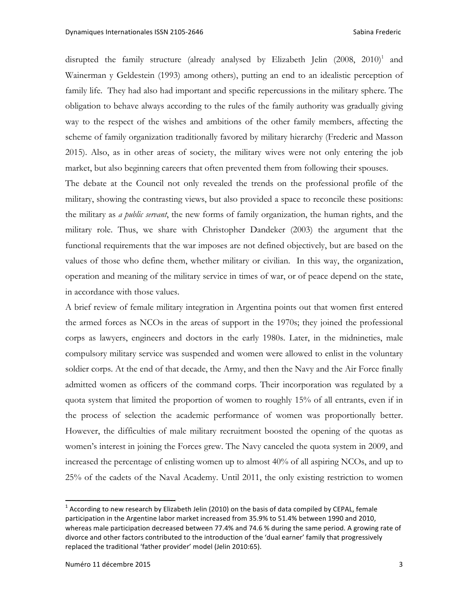disrupted the family structure (already analysed by Elizabeth Jelin  $(2008, 2010)^1$  and Wainerman y Geldestein (1993) among others), putting an end to an idealistic perception of family life. They had also had important and specific repercussions in the military sphere. The obligation to behave always according to the rules of the family authority was gradually giving way to the respect of the wishes and ambitions of the other family members, affecting the scheme of family organization traditionally favored by military hierarchy (Frederic and Masson 2015). Also, as in other areas of society, the military wives were not only entering the job market, but also beginning careers that often prevented them from following their spouses.

The debate at the Council not only revealed the trends on the professional profile of the military, showing the contrasting views, but also provided a space to reconcile these positions: the military as *a public servant*, the new forms of family organization, the human rights, and the military role. Thus, we share with Christopher Dandeker (2003) the argument that the functional requirements that the war imposes are not defined objectively, but are based on the values of those who define them, whether military or civilian. In this way, the organization, operation and meaning of the military service in times of war, or of peace depend on the state, in accordance with those values.

A brief review of female military integration in Argentina points out that women first entered the armed forces as NCOs in the areas of support in the 1970s; they joined the professional corps as lawyers, engineers and doctors in the early 1980s. Later, in the midnineties, male compulsory military service was suspended and women were allowed to enlist in the voluntary soldier corps. At the end of that decade, the Army, and then the Navy and the Air Force finally admitted women as officers of the command corps. Their incorporation was regulated by a quota system that limited the proportion of women to roughly 15% of all entrants, even if in the process of selection the academic performance of women was proportionally better. However, the difficulties of male military recruitment boosted the opening of the quotas as women's interest in joining the Forces grew. The Navy canceled the quota system in 2009, and increased the percentage of enlisting women up to almost 40% of all aspiring NCOs, and up to 25% of the cadets of the Naval Academy. Until 2011, the only existing restriction to women

 $1$  According to new research by Elizabeth Jelin (2010) on the basis of data compiled by CEPAL, female participation in the Argentine labor market increased from 35.9% to 51.4% between 1990 and 2010, whereas male participation decreased between 77.4% and 74.6 % during the same period. A growing rate of divorce and other factors contributed to the introduction of the 'dual earner' family that progressively replaced the traditional 'father provider' model (Jelin 2010:65).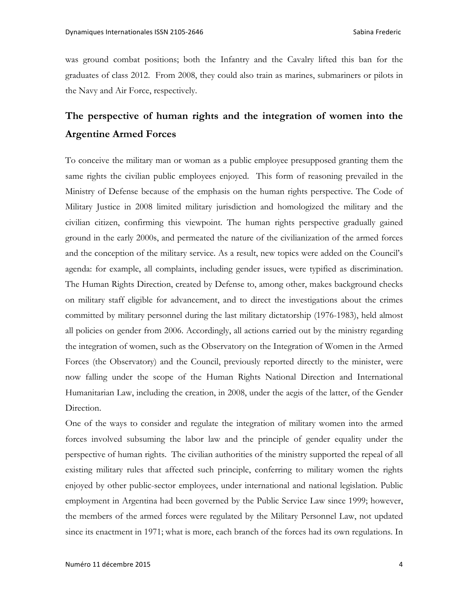was ground combat positions; both the Infantry and the Cavalry lifted this ban for the graduates of class 2012. From 2008, they could also train as marines, submariners or pilots in the Navy and Air Force, respectively.

# **The perspective of human rights and the integration of women into the Argentine Armed Forces**

To conceive the military man or woman as a public employee presupposed granting them the same rights the civilian public employees enjoyed. This form of reasoning prevailed in the Ministry of Defense because of the emphasis on the human rights perspective. The Code of Military Justice in 2008 limited military jurisdiction and homologized the military and the civilian citizen, confirming this viewpoint. The human rights perspective gradually gained ground in the early 2000s, and permeated the nature of the civilianization of the armed forces and the conception of the military service. As a result, new topics were added on the Council's agenda: for example, all complaints, including gender issues, were typified as discrimination. The Human Rights Direction, created by Defense to, among other, makes background checks on military staff eligible for advancement, and to direct the investigations about the crimes committed by military personnel during the last military dictatorship (1976-1983), held almost all policies on gender from 2006. Accordingly, all actions carried out by the ministry regarding the integration of women, such as the Observatory on the Integration of Women in the Armed Forces (the Observatory) and the Council, previously reported directly to the minister, were now falling under the scope of the Human Rights National Direction and International Humanitarian Law, including the creation, in 2008, under the aegis of the latter, of the Gender Direction.

One of the ways to consider and regulate the integration of military women into the armed forces involved subsuming the labor law and the principle of gender equality under the perspective of human rights. The civilian authorities of the ministry supported the repeal of all existing military rules that affected such principle, conferring to military women the rights enjoyed by other public-sector employees, under international and national legislation. Public employment in Argentina had been governed by the Public Service Law since 1999; however, the members of the armed forces were regulated by the Military Personnel Law, not updated since its enactment in 1971; what is more, each branch of the forces had its own regulations. In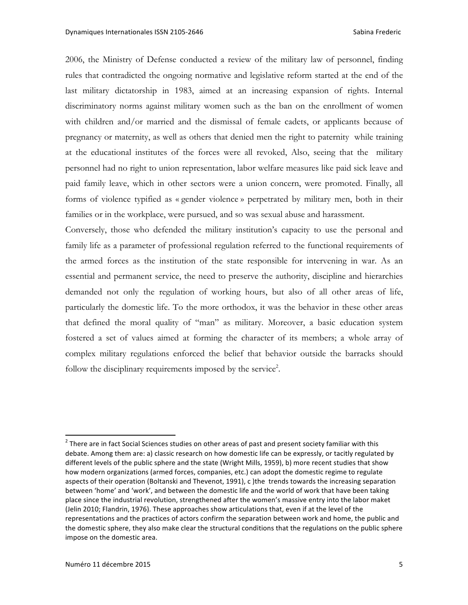2006, the Ministry of Defense conducted a review of the military law of personnel, finding rules that contradicted the ongoing normative and legislative reform started at the end of the last military dictatorship in 1983, aimed at an increasing expansion of rights. Internal discriminatory norms against military women such as the ban on the enrollment of women with children and/or married and the dismissal of female cadets, or applicants because of pregnancy or maternity, as well as others that denied men the right to paternity while training at the educational institutes of the forces were all revoked, Also, seeing that the military personnel had no right to union representation, labor welfare measures like paid sick leave and paid family leave, which in other sectors were a union concern, were promoted. Finally, all forms of violence typified as « gender violence » perpetrated by military men, both in their families or in the workplace, were pursued, and so was sexual abuse and harassment.

Conversely, those who defended the military institution's capacity to use the personal and family life as a parameter of professional regulation referred to the functional requirements of the armed forces as the institution of the state responsible for intervening in war. As an essential and permanent service, the need to preserve the authority, discipline and hierarchies demanded not only the regulation of working hours, but also of all other areas of life, particularly the domestic life. To the more orthodox, it was the behavior in these other areas that defined the moral quality of "man" as military. Moreover, a basic education system fostered a set of values aimed at forming the character of its members; a whole array of complex military regulations enforced the belief that behavior outside the barracks should follow the disciplinary requirements imposed by the service<sup>2</sup>.

 $^2$  There are in fact Social Sciences studies on other areas of past and present society familiar with this debate. Among them are: a) classic research on how domestic life can be expressly, or tacitly regulated by different levels of the public sphere and the state (Wright Mills, 1959), b) more recent studies that show how modern organizations (armed forces, companies, etc.) can adopt the domestic regime to regulate aspects of their operation (Boltanski and Thevenot, 1991), c )the trends towards the increasing separation between 'home' and 'work', and between the domestic life and the world of work that have been taking place since the industrial revolution, strengthened after the women's massive entry into the labor maket (Jelin 2010; Flandrin, 1976). These approaches show articulations that, even if at the level of the representations and the practices of actors confirm the separation between work and home, the public and the domestic sphere, they also make clear the structural conditions that the regulations on the public sphere impose on the domestic area.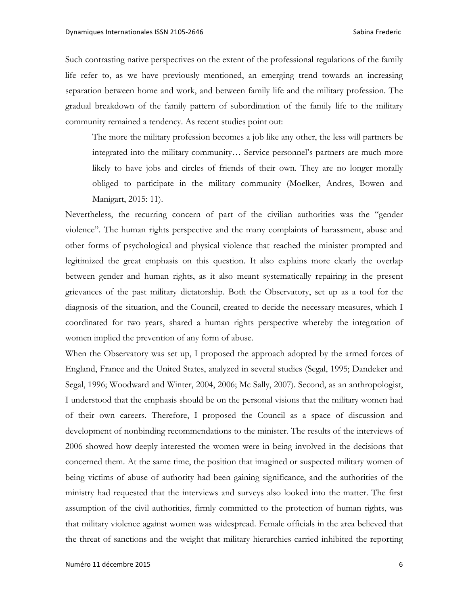Such contrasting native perspectives on the extent of the professional regulations of the family life refer to, as we have previously mentioned, an emerging trend towards an increasing separation between home and work, and between family life and the military profession. The gradual breakdown of the family pattern of subordination of the family life to the military community remained a tendency. As recent studies point out:

The more the military profession becomes a job like any other, the less will partners be integrated into the military community… Service personnel's partners are much more likely to have jobs and circles of friends of their own. They are no longer morally obliged to participate in the military community (Moelker, Andres, Bowen and Manigart, 2015: 11).

Nevertheless, the recurring concern of part of the civilian authorities was the "gender violence". The human rights perspective and the many complaints of harassment, abuse and other forms of psychological and physical violence that reached the minister prompted and legitimized the great emphasis on this question. It also explains more clearly the overlap between gender and human rights, as it also meant systematically repairing in the present grievances of the past military dictatorship. Both the Observatory, set up as a tool for the diagnosis of the situation, and the Council, created to decide the necessary measures, which I coordinated for two years, shared a human rights perspective whereby the integration of women implied the prevention of any form of abuse.

When the Observatory was set up, I proposed the approach adopted by the armed forces of England, France and the United States, analyzed in several studies (Segal, 1995; Dandeker and Segal, 1996; Woodward and Winter, 2004, 2006; Mc Sally, 2007). Second, as an anthropologist, I understood that the emphasis should be on the personal visions that the military women had of their own careers. Therefore, I proposed the Council as a space of discussion and development of nonbinding recommendations to the minister. The results of the interviews of 2006 showed how deeply interested the women were in being involved in the decisions that concerned them. At the same time, the position that imagined or suspected military women of being victims of abuse of authority had been gaining significance, and the authorities of the ministry had requested that the interviews and surveys also looked into the matter. The first assumption of the civil authorities, firmly committed to the protection of human rights, was that military violence against women was widespread. Female officials in the area believed that the threat of sanctions and the weight that military hierarchies carried inhibited the reporting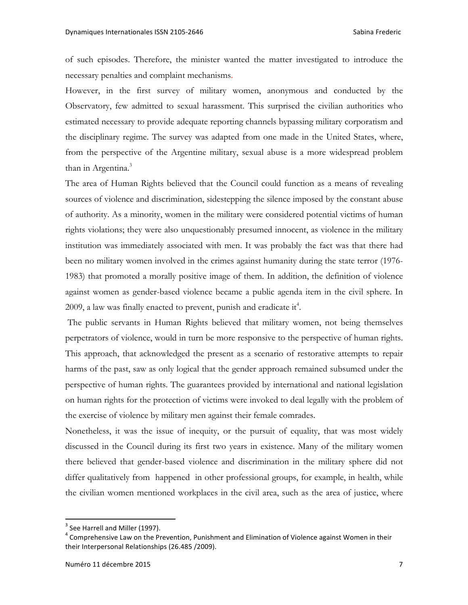of such episodes. Therefore, the minister wanted the matter investigated to introduce the necessary penalties and complaint mechanisms.

However, in the first survey of military women, anonymous and conducted by the Observatory, few admitted to sexual harassment. This surprised the civilian authorities who estimated necessary to provide adequate reporting channels bypassing military corporatism and the disciplinary regime. The survey was adapted from one made in the United States, where, from the perspective of the Argentine military, sexual abuse is a more widespread problem than in Argentina.<sup>3</sup>

The area of Human Rights believed that the Council could function as a means of revealing sources of violence and discrimination, sidestepping the silence imposed by the constant abuse of authority. As a minority, women in the military were considered potential victims of human rights violations; they were also unquestionably presumed innocent, as violence in the military institution was immediately associated with men. It was probably the fact was that there had been no military women involved in the crimes against humanity during the state terror (1976- 1983) that promoted a morally positive image of them. In addition, the definition of violence against women as gender-based violence became a public agenda item in the civil sphere. In 2009, a law was finally enacted to prevent, punish and eradicate it<sup>4</sup>.

The public servants in Human Rights believed that military women, not being themselves perpetrators of violence, would in turn be more responsive to the perspective of human rights. This approach, that acknowledged the present as a scenario of restorative attempts to repair harms of the past, saw as only logical that the gender approach remained subsumed under the perspective of human rights. The guarantees provided by international and national legislation on human rights for the protection of victims were invoked to deal legally with the problem of the exercise of violence by military men against their female comrades.

Nonetheless, it was the issue of inequity, or the pursuit of equality, that was most widely discussed in the Council during its first two years in existence. Many of the military women there believed that gender-based violence and discrimination in the military sphere did not differ qualitatively from happened in other professional groups, for example, in health, while the civilian women mentioned workplaces in the civil area, such as the area of justice, where

 $3$  See Harrell and Miller (1997).

 $4$  Comprehensive Law on the Prevention, Punishment and Elimination of Violence against Women in their their Interpersonal Relationships (26.485 /2009).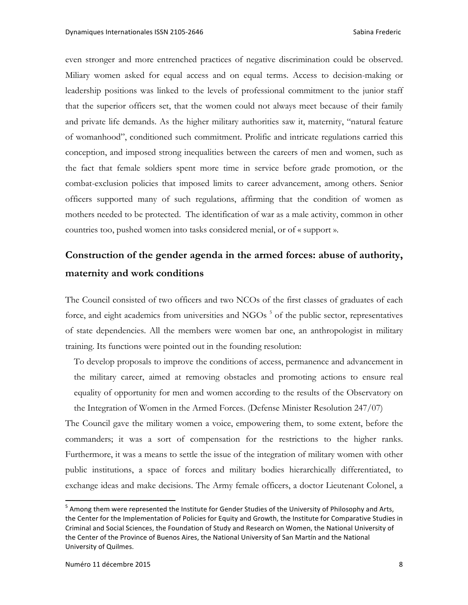even stronger and more entrenched practices of negative discrimination could be observed. Miliary women asked for equal access and on equal terms. Access to decision-making or leadership positions was linked to the levels of professional commitment to the junior staff that the superior officers set, that the women could not always meet because of their family and private life demands. As the higher military authorities saw it, maternity, "natural feature of womanhood", conditioned such commitment. Prolific and intricate regulations carried this conception, and imposed strong inequalities between the careers of men and women, such as the fact that female soldiers spent more time in service before grade promotion, or the combat-exclusion policies that imposed limits to career advancement, among others. Senior officers supported many of such regulations, affirming that the condition of women as mothers needed to be protected. The identification of war as a male activity, common in other countries too, pushed women into tasks considered menial, or of « support ».

# **Construction of the gender agenda in the armed forces: abuse of authority, maternity and work conditions**

The Council consisted of two officers and two NCOs of the first classes of graduates of each force, and eight academics from universities and  $NGOs$ <sup>5</sup> of the public sector, representatives of state dependencies. All the members were women bar one, an anthropologist in military training. Its functions were pointed out in the founding resolution:

To develop proposals to improve the conditions of access, permanence and advancement in the military career, aimed at removing obstacles and promoting actions to ensure real equality of opportunity for men and women according to the results of the Observatory on the Integration of Women in the Armed Forces. (Defense Minister Resolution 247/07)

The Council gave the military women a voice, empowering them, to some extent, before the commanders; it was a sort of compensation for the restrictions to the higher ranks. Furthermore, it was a means to settle the issue of the integration of military women with other public institutions, a space of forces and military bodies hierarchically differentiated, to exchange ideas and make decisions. The Army female officers, a doctor Lieutenant Colonel, a

<sup>&</sup>lt;sup>5</sup> Among them were represented the Institute for Gender Studies of the University of Philosophy and Arts, the Center for the Implementation of Policies for Equity and Growth, the Institute for Comparative Studies in Criminal and Social Sciences, the Foundation of Study and Research on Women, the National University of the Center of the Province of Buenos Aires, the National University of San Martín and the National University of Quilmes.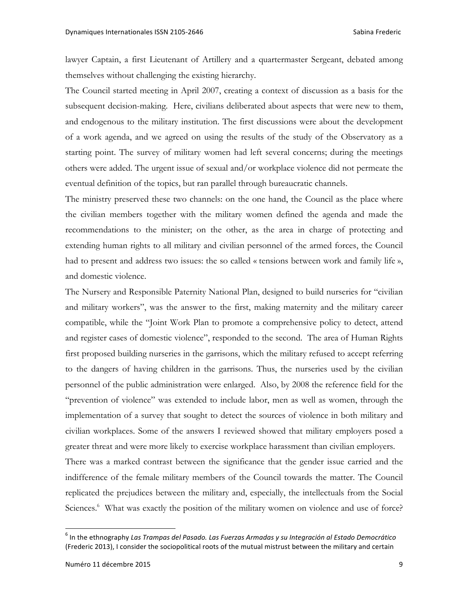lawyer Captain, a first Lieutenant of Artillery and a quartermaster Sergeant, debated among themselves without challenging the existing hierarchy.

The Council started meeting in April 2007, creating a context of discussion as a basis for the subsequent decision-making. Here, civilians deliberated about aspects that were new to them, and endogenous to the military institution. The first discussions were about the development of a work agenda, and we agreed on using the results of the study of the Observatory as a starting point. The survey of military women had left several concerns; during the meetings others were added. The urgent issue of sexual and/or workplace violence did not permeate the eventual definition of the topics, but ran parallel through bureaucratic channels.

The ministry preserved these two channels: on the one hand, the Council as the place where the civilian members together with the military women defined the agenda and made the recommendations to the minister; on the other, as the area in charge of protecting and extending human rights to all military and civilian personnel of the armed forces, the Council had to present and address two issues: the so called « tensions between work and family life », and domestic violence.

The Nursery and Responsible Paternity National Plan, designed to build nurseries for "civilian and military workers", was the answer to the first, making maternity and the military career compatible, while the "Joint Work Plan to promote a comprehensive policy to detect, attend and register cases of domestic violence", responded to the second. The area of Human Rights first proposed building nurseries in the garrisons, which the military refused to accept referring to the dangers of having children in the garrisons. Thus, the nurseries used by the civilian personnel of the public administration were enlarged. Also, by 2008 the reference field for the "prevention of violence" was extended to include labor, men as well as women, through the implementation of a survey that sought to detect the sources of violence in both military and civilian workplaces. Some of the answers I reviewed showed that military employers posed a greater threat and were more likely to exercise workplace harassment than civilian employers.

There was a marked contrast between the significance that the gender issue carried and the indifference of the female military members of the Council towards the matter. The Council replicated the prejudices between the military and, especially, the intellectuals from the Social Sciences.<sup>6</sup> What was exactly the position of the military women on violence and use of force?

<sup>&</sup>lt;sup>6</sup> In the ethnography Las Trampas del Pasado. Las Fuerzas Armadas y su Integración al Estado Democrático (Frederic 2013), I consider the sociopolitical roots of the mutual mistrust between the military and certain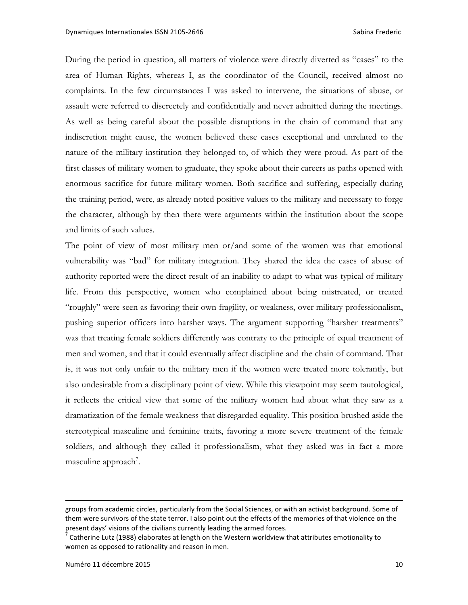During the period in question, all matters of violence were directly diverted as "cases" to the area of Human Rights, whereas I, as the coordinator of the Council, received almost no complaints. In the few circumstances I was asked to intervene, the situations of abuse, or assault were referred to discreetely and confidentially and never admitted during the meetings. As well as being careful about the possible disruptions in the chain of command that any indiscretion might cause, the women believed these cases exceptional and unrelated to the nature of the military institution they belonged to, of which they were proud. As part of the first classes of military women to graduate, they spoke about their careers as paths opened with enormous sacrifice for future military women. Both sacrifice and suffering, especially during the training period, were, as already noted positive values to the military and necessary to forge the character, although by then there were arguments within the institution about the scope and limits of such values.

The point of view of most military men or/and some of the women was that emotional vulnerability was "bad" for military integration. They shared the idea the cases of abuse of authority reported were the direct result of an inability to adapt to what was typical of military life. From this perspective, women who complained about being mistreated, or treated "roughly" were seen as favoring their own fragility, or weakness, over military professionalism, pushing superior officers into harsher ways. The argument supporting "harsher treatments" was that treating female soldiers differently was contrary to the principle of equal treatment of men and women, and that it could eventually affect discipline and the chain of command. That is, it was not only unfair to the military men if the women were treated more tolerantly, but also undesirable from a disciplinary point of view. While this viewpoint may seem tautological, it reflects the critical view that some of the military women had about what they saw as a dramatization of the female weakness that disregarded equality. This position brushed aside the stereotypical masculine and feminine traits, favoring a more severe treatment of the female soldiers, and although they called it professionalism, what they asked was in fact a more masculine approach<sup>7</sup>.

<u> 1989 - Johann Barn, fransk politik (f. 1989)</u>

groups from academic circles, particularly from the Social Sciences, or with an activist background. Some of them were survivors of the state terror. I also point out the effects of the memories of that violence on the present days' visions of the civilians currently leading the armed forces.<br><sup>7</sup> Catherine Lutz (1988) elaborates at length on the Western worldview that attributes emotionality to

women as opposed to rationality and reason in men.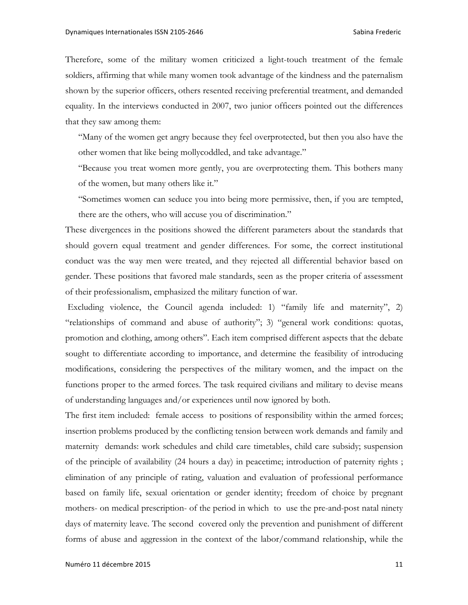Therefore, some of the military women criticized a light-touch treatment of the female soldiers, affirming that while many women took advantage of the kindness and the paternalism shown by the superior officers, others resented receiving preferential treatment, and demanded equality. In the interviews conducted in 2007, two junior officers pointed out the differences that they saw among them:

"Many of the women get angry because they feel overprotected, but then you also have the other women that like being mollycoddled, and take advantage."

"Because you treat women more gently, you are overprotecting them. This bothers many of the women, but many others like it."

"Sometimes women can seduce you into being more permissive, then, if you are tempted, there are the others, who will accuse you of discrimination."

These divergences in the positions showed the different parameters about the standards that should govern equal treatment and gender differences. For some, the correct institutional conduct was the way men were treated, and they rejected all differential behavior based on gender. These positions that favored male standards, seen as the proper criteria of assessment of their professionalism, emphasized the military function of war.

Excluding violence, the Council agenda included: 1) "family life and maternity", 2) "relationships of command and abuse of authority"; 3) "general work conditions: quotas, promotion and clothing, among others". Each item comprised different aspects that the debate sought to differentiate according to importance, and determine the feasibility of introducing modifications, considering the perspectives of the military women, and the impact on the functions proper to the armed forces. The task required civilians and military to devise means of understanding languages and/or experiences until now ignored by both.

The first item included: female access to positions of responsibility within the armed forces; insertion problems produced by the conflicting tension between work demands and family and maternity demands: work schedules and child care timetables, child care subsidy; suspension of the principle of availability (24 hours a day) in peacetime; introduction of paternity rights ; elimination of any principle of rating, valuation and evaluation of professional performance based on family life, sexual orientation or gender identity; freedom of choice by pregnant mothers- on medical prescription- of the period in which to use the pre-and-post natal ninety days of maternity leave. The second covered only the prevention and punishment of different forms of abuse and aggression in the context of the labor/command relationship, while the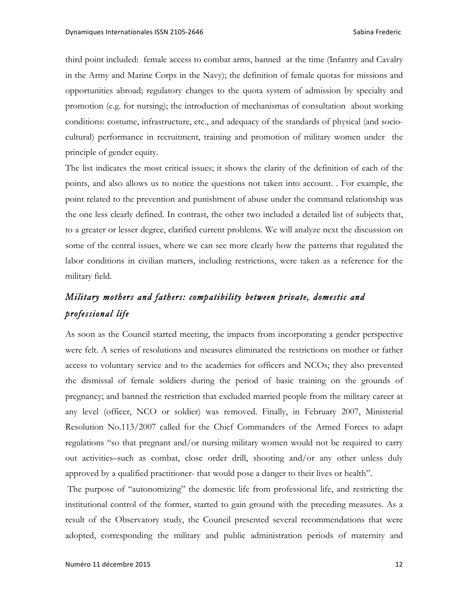third point included: female access to combat arms, banned at the time (Infantry and Cavalry in the Army and Marine Corps in the Navy); the definition of female quotas for missions and opportunities abroad; regulatory changes to the quota system of admission by specialty and promotion (e.g. for nursing); the introduction of mechanismas of consultation about working conditions: costume, infrastructure, etc., and adequacy of the standards of physical (and sociocultural) performance in recruitment, training and promotion of military women under the principle of gender equity.

The list indicates the most critical issues; it shows the clarity of the definition of each of the points, and also allows us to notice the questions not taken into account. . For example, the point related to the prevention and punishment of abuse under the command relationship was the one less clearly defined. In contrast, the other two included a detailed list of subjects that, to a greater or lesser degree, clarified current problems. We will analyze next the discussion on some of the central issues, where we can see more clearly how the patterns that regulated the labor conditions in civilian matters, including restrictions, were taken as a reference for the military field.

### *Military mothers and fathers: compatibility between private, domestic and professional life*

As soon as the Council started meeting, the impacts from incorporating a gender perspective were felt. A series of resolutions and measures eliminated the restrictions on mother or father access to voluntary service and to the academies for officers and NCOs; they also prevented the dismissal of female soldiers during the period of basic training on the grounds of pregnancy; and banned the restriction that excluded married people from the military career at any level (officer, NCO or soldier) was removed. Finally, in February 2007, Ministerial Resolution No.113/2007 called for the Chief Commanders of the Armed Forces to adapt regulations "so that pregnant and/or nursing military women would not be required to carry out activities–such as combat, close order drill, shooting and/or any other unless duly approved by a qualified practitioner- that would pose a danger to their lives or health".

The purpose of "autonomizing" the domestic life from professional life, and restricting the institutional control of the former, started to gain ground with the preceding measures. As a result of the Observatory study, the Council presented several recommendations that were adopted, corresponding the military and public administration periods of maternity and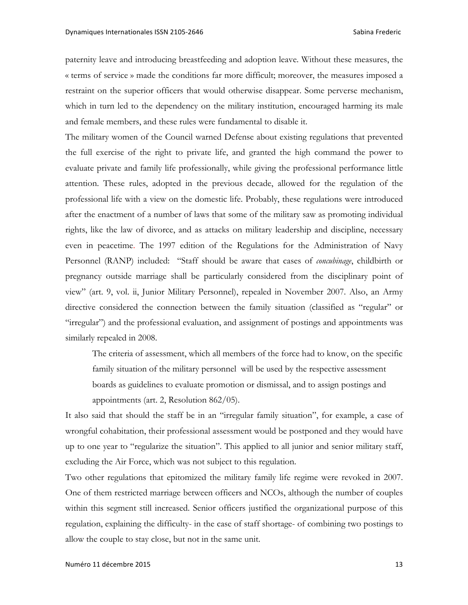paternity leave and introducing breastfeeding and adoption leave. Without these measures, the « terms of service » made the conditions far more difficult; moreover, the measures imposed a restraint on the superior officers that would otherwise disappear. Some perverse mechanism, which in turn led to the dependency on the military institution, encouraged harming its male and female members, and these rules were fundamental to disable it.

The military women of the Council warned Defense about existing regulations that prevented the full exercise of the right to private life, and granted the high command the power to evaluate private and family life professionally, while giving the professional performance little attention. These rules, adopted in the previous decade, allowed for the regulation of the professional life with a view on the domestic life. Probably, these regulations were introduced after the enactment of a number of laws that some of the military saw as promoting individual rights, like the law of divorce, and as attacks on military leadership and discipline, necessary even in peacetime. The 1997 edition of the Regulations for the Administration of Navy Personnel (RANP) included: "Staff should be aware that cases of *concubinage*, childbirth or pregnancy outside marriage shall be particularly considered from the disciplinary point of view" (art. 9, vol. ii, Junior Military Personnel), repealed in November 2007. Also, an Army directive considered the connection between the family situation (classified as "regular" or "irregular") and the professional evaluation, and assignment of postings and appointments was similarly repealed in 2008.

The criteria of assessment, which all members of the force had to know, on the specific family situation of the military personnel will be used by the respective assessment boards as guidelines to evaluate promotion or dismissal, and to assign postings and appointments (art. 2, Resolution 862/05).

It also said that should the staff be in an "irregular family situation", for example, a case of wrongful cohabitation, their professional assessment would be postponed and they would have up to one year to "regularize the situation". This applied to all junior and senior military staff, excluding the Air Force, which was not subject to this regulation.

Two other regulations that epitomized the military family life regime were revoked in 2007. One of them restricted marriage between officers and NCOs, although the number of couples within this segment still increased. Senior officers justified the organizational purpose of this regulation, explaining the difficulty- in the case of staff shortage- of combining two postings to allow the couple to stay close, but not in the same unit.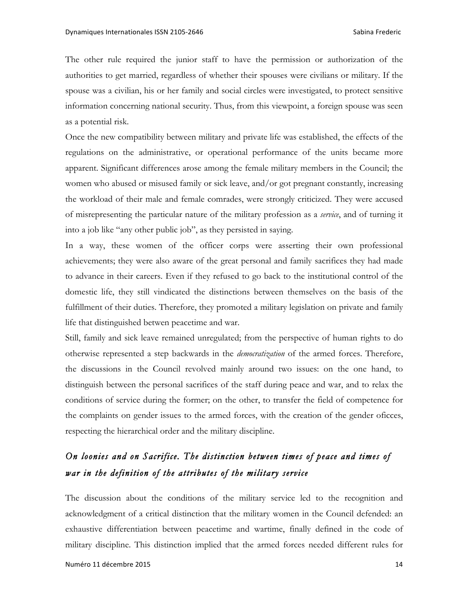The other rule required the junior staff to have the permission or authorization of the authorities to get married, regardless of whether their spouses were civilians or military. If the spouse was a civilian, his or her family and social circles were investigated, to protect sensitive information concerning national security. Thus, from this viewpoint, a foreign spouse was seen as a potential risk.

Once the new compatibility between military and private life was established, the effects of the regulations on the administrative, or operational performance of the units became more apparent. Significant differences arose among the female military members in the Council; the women who abused or misused family or sick leave, and/or got pregnant constantly, increasing the workload of their male and female comrades, were strongly criticized. They were accused of misrepresenting the particular nature of the military profession as a *service*, and of turning it into a job like "any other public job", as they persisted in saying.

In a way, these women of the officer corps were asserting their own professional achievements; they were also aware of the great personal and family sacrifices they had made to advance in their careers. Even if they refused to go back to the institutional control of the domestic life, they still vindicated the distinctions between themselves on the basis of the fulfillment of their duties. Therefore, they promoted a military legislation on private and family life that distinguished betwen peacetime and war.

Still, family and sick leave remained unregulated; from the perspective of human rights to do otherwise represented a step backwards in the *democratization* of the armed forces. Therefore, the discussions in the Council revolved mainly around two issues: on the one hand, to distinguish between the personal sacrifices of the staff during peace and war, and to relax the conditions of service during the former; on the other, to transfer the field of competence for the complaints on gender issues to the armed forces, with the creation of the gender oficces, respecting the hierarchical order and the military discipline.

### *On loonies and on Sacrifice. The distinction between times of peace and times of war in the definition of the attributes of the military service*

The discussion about the conditions of the military service led to the recognition and acknowledgment of a critical distinction that the military women in the Council defended: an exhaustive differentiation between peacetime and wartime, finally defined in the code of military discipline. This distinction implied that the armed forces needed different rules for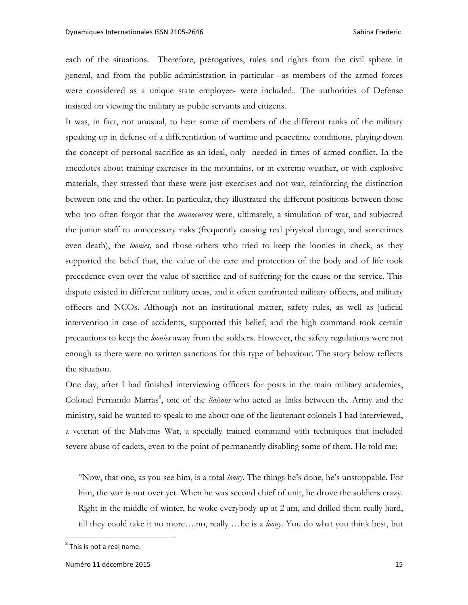each of the situations. Therefore, prerogatives, rules and rights from the civil sphere in general, and from the public administration in particular –as members of the armed forces were considered as a unique state employee- were included.. The authorities of Defense insisted on viewing the military as public servants and citizens.

It was, in fact, not unusual, to hear some of members of the different ranks of the military speaking up in defense of a differentiation of wartime and peacetime conditions, playing down the concept of personal sacrifice as an ideal, only needed in times of armed conflict. In the anecdotes about training exercises in the mountains, or in extreme weather, or with explosive materials, they stressed that these were just exercises and not war, reinforcing the distinction between one and the other. In particular, they illustrated the different positions between those who too often forgot that the *manoeuvres* were, ultimately, a simulation of war, and subjected the junior staff to unnecessary risks (frequently causing real physical damage, and sometimes even death), the *loonies,* and those others who tried to keep the loonies in check, as they supported the belief that, the value of the care and protection of the body and of life took precedence even over the value of sacrifice and of suffering for the cause or the service. This dispute existed in different military areas, and it often confronted military officers, and military officers and NCOs. Although not an institutional matter, safety rules, as well as judicial intervention in case of accidents, supported this belief, and the high command took certain precautions to keep the *loonies* away from the soldiers. However, the safety regulations were not enough as there were no written sanctions for this type of behaviour. The story below reflects the situation.

One day, after I had finished interviewing officers for posts in the main military academies, Colonel Fernando Marras<sup>8</sup>, one of the liaisons who acted as links between the Army and the ministry, said he wanted to speak to me about one of the lieutenant colonels I had interviewed, a veteran of the Malvinas War, a specially trained command with techniques that included severe abuse of cadets, even to the point of permanently disabling some of them. He told me:

"Now, that one, as you see him, is a total *loony*. The things he's done, he's unstoppable. For him, the war is not over yet. When he was second chief of unit, he drove the soldiers crazy. Right in the middle of winter, he woke everybody up at 2 am, and drilled them really hard, till they could take it no more….no, really …he is a *loony*. You do what you think best, but

 $^8$  This is not a real name.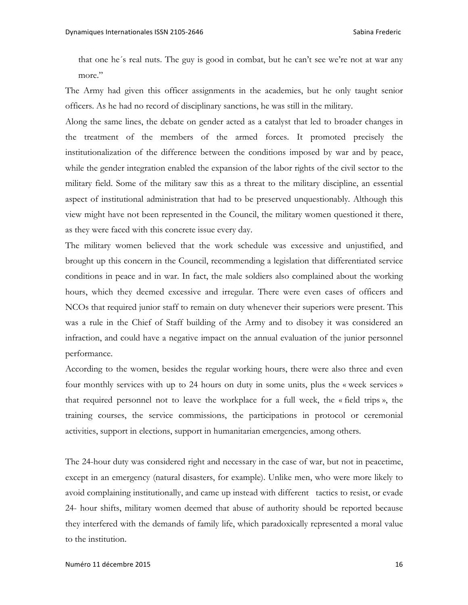that one he´s real nuts. The guy is good in combat, but he can't see we're not at war any more."

The Army had given this officer assignments in the academies, but he only taught senior officers. As he had no record of disciplinary sanctions, he was still in the military.

Along the same lines, the debate on gender acted as a catalyst that led to broader changes in the treatment of the members of the armed forces. It promoted precisely the institutionalization of the difference between the conditions imposed by war and by peace, while the gender integration enabled the expansion of the labor rights of the civil sector to the military field. Some of the military saw this as a threat to the military discipline, an essential aspect of institutional administration that had to be preserved unquestionably. Although this view might have not been represented in the Council, the military women questioned it there, as they were faced with this concrete issue every day.

The military women believed that the work schedule was excessive and unjustified, and brought up this concern in the Council, recommending a legislation that differentiated service conditions in peace and in war. In fact, the male soldiers also complained about the working hours, which they deemed excessive and irregular. There were even cases of officers and NCOs that required junior staff to remain on duty whenever their superiors were present. This was a rule in the Chief of Staff building of the Army and to disobey it was considered an infraction, and could have a negative impact on the annual evaluation of the junior personnel performance.

According to the women, besides the regular working hours, there were also three and even four monthly services with up to 24 hours on duty in some units, plus the « week services » that required personnel not to leave the workplace for a full week, the « field trips », the training courses, the service commissions, the participations in protocol or ceremonial activities, support in elections, support in humanitarian emergencies, among others.

The 24-hour duty was considered right and necessary in the case of war, but not in peacetime, except in an emergency (natural disasters, for example). Unlike men, who were more likely to avoid complaining institutionally, and came up instead with different tactics to resist, or evade 24- hour shifts, military women deemed that abuse of authority should be reported because they interfered with the demands of family life, which paradoxically represented a moral value to the institution.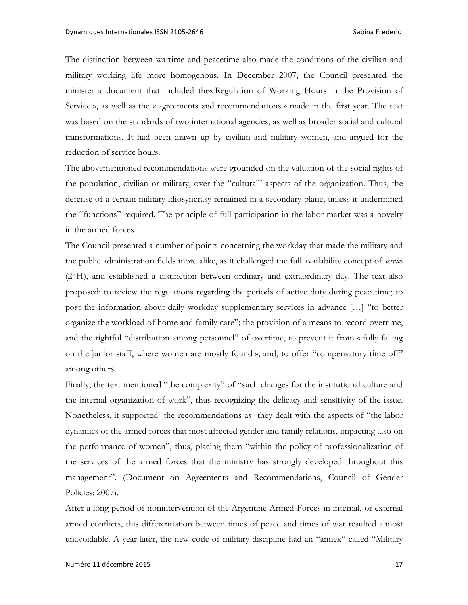The distinction between wartime and peacetime also made the conditions of the civilian and military working life more homogenous. In December 2007, the Council presented the minister a document that included the« Regulation of Working Hours in the Provision of Service », as well as the « agreements and recommendations » made in the first year. The text was based on the standards of two international agencies, as well as broader social and cultural transformations. It had been drawn up by civilian and military women, and argued for the reduction of service hours.

The abovementioned recommendations were grounded on the valuation of the social rights of the population, civilian or military, over the "cultural" aspects of the organization. Thus, the defense of a certain military idiosyncrasy remained in a secondary plane, unless it undermined the "functions" required. The principle of full participation in the labor market was a novelty in the armed forces.

The Council presented a number of points concerning the workday that made the military and the public administration fields more alike, as it challenged the full availability concept of *service* (24H), and established a distinction between ordinary and extraordinary day. The text also proposed: to review the regulations regarding the periods of active duty during peacetime; to post the information about daily workday supplementary services in advance […] "to better organize the workload of home and family care"; the provision of a means to record overtime, and the rightful "distribution among personnel" of overtime, to prevent it from « fully falling on the junior staff, where women are mostly found »; and, to offer "compensatory time off" among others.

Finally, the text mentioned "the complexity" of "such changes for the institutional culture and the internal organization of work", thus recognizing the delicacy and sensitivity of the issue. Nonetheless, it supported the recommendations as they dealt with the aspects of "the labor dynamics of the armed forces that most affected gender and family relations, impacting also on the performance of women", thus, placing them "within the policy of professionalization of the services of the armed forces that the ministry has strongly developed throughout this management". (Document on Agreements and Recommendations, Council of Gender Policies: 2007).

After a long period of nonintervention of the Argentine Armed Forces in internal, or external armed conflicts, this differentiation between times of peace and times of war resulted almost unavoidable. A year later, the new code of military discipline had an "annex" called "Military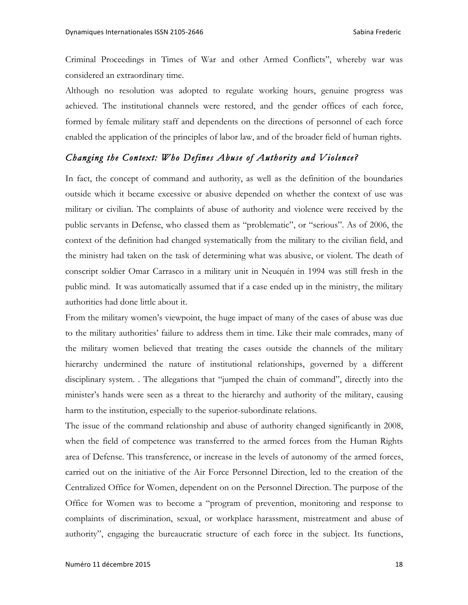Criminal Proceedings in Times of War and other Armed Conflicts", whereby war was considered an extraordinary time.

Although no resolution was adopted to regulate working hours, genuine progress was achieved. The institutional channels were restored, and the gender offices of each force, formed by female military staff and dependents on the directions of personnel of each force enabled the application of the principles of labor law, and of the broader field of human rights.

### *Changing the Context: Who Defines Abuse of Authority and Violence?*

In fact, the concept of command and authority, as well as the definition of the boundaries outside which it became excessive or abusive depended on whether the context of use was military or civilian. The complaints of abuse of authority and violence were received by the public servants in Defense, who classed them as "problematic", or "serious". As of 2006, the context of the definition had changed systematically from the military to the civilian field, and the ministry had taken on the task of determining what was abusive, or violent. The death of conscript soldier Omar Carrasco in a military unit in Neuquén in 1994 was still fresh in the public mind. It was automatically assumed that if a case ended up in the ministry, the military authorities had done little about it.

From the military women's viewpoint, the huge impact of many of the cases of abuse was due to the military authorities' failure to address them in time. Like their male comrades, many of the military women believed that treating the cases outside the channels of the military hierarchy undermined the nature of institutional relationships, governed by a different disciplinary system. . The allegations that "jumped the chain of command", directly into the minister's hands were seen as a threat to the hierarchy and authority of the military, causing harm to the institution, especially to the superior-subordinate relations.

The issue of the command relationship and abuse of authority changed significantly in 2008, when the field of competence was transferred to the armed forces from the Human Rights area of Defense. This transference, or increase in the levels of autonomy of the armed forces, carried out on the initiative of the Air Force Personnel Direction, led to the creation of the Centralized Office for Women, dependent on on the Personnel Direction. The purpose of the Office for Women was to become a "program of prevention, monitoring and response to complaints of discrimination, sexual, or workplace harassment, mistreatment and abuse of authority", engaging the bureaucratic structure of each force in the subject. Its functions,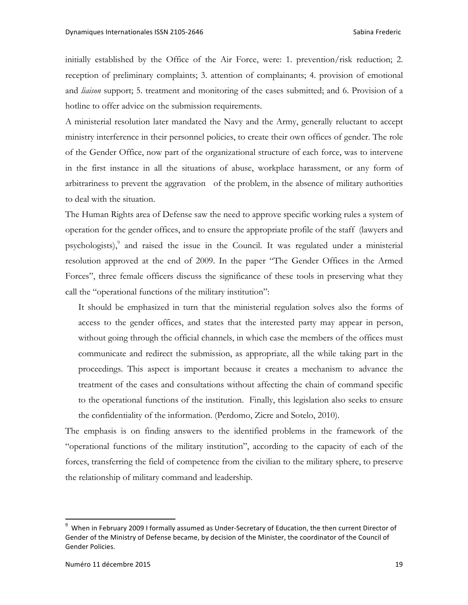initially established by the Office of the Air Force, were: 1. prevention/risk reduction; 2. reception of preliminary complaints; 3. attention of complainants; 4. provision of emotional and *liaison* support; 5. treatment and monitoring of the cases submitted; and 6. Provision of a hotline to offer advice on the submission requirements.

A ministerial resolution later mandated the Navy and the Army, generally reluctant to accept ministry interference in their personnel policies, to create their own offices of gender. The role of the Gender Office, now part of the organizational structure of each force, was to intervene in the first instance in all the situations of abuse, workplace harassment, or any form of arbitrariness to prevent the aggravation of the problem, in the absence of military authorities to deal with the situation.

The Human Rights area of Defense saw the need to approve specific working rules a system of operation for the gender offices, and to ensure the appropriate profile of the staff (lawyers and psychologists), $\degree$  and raised the issue in the Council. It was regulated under a ministerial resolution approved at the end of 2009. In the paper "The Gender Offices in the Armed Forces", three female officers discuss the significance of these tools in preserving what they call the "operational functions of the military institution":

It should be emphasized in turn that the ministerial regulation solves also the forms of access to the gender offices, and states that the interested party may appear in person, without going through the official channels, in which case the members of the offices must communicate and redirect the submission, as appropriate, all the while taking part in the proceedings. This aspect is important because it creates a mechanism to advance the treatment of the cases and consultations without affecting the chain of command specific to the operational functions of the institution. Finally, this legislation also seeks to ensure the confidentiality of the information. (Perdomo, Zicre and Sotelo, 2010).

The emphasis is on finding answers to the identified problems in the framework of the "operational functions of the military institution", according to the capacity of each of the forces, transferring the field of competence from the civilian to the military sphere, to preserve the relationship of military command and leadership.

<sup>9</sup> When in February 2009 I formally assumed as Under-Secretary of Education, the then current Director of Gender of the Ministry of Defense became, by decision of the Minister, the coordinator of the Council of Gender Policies.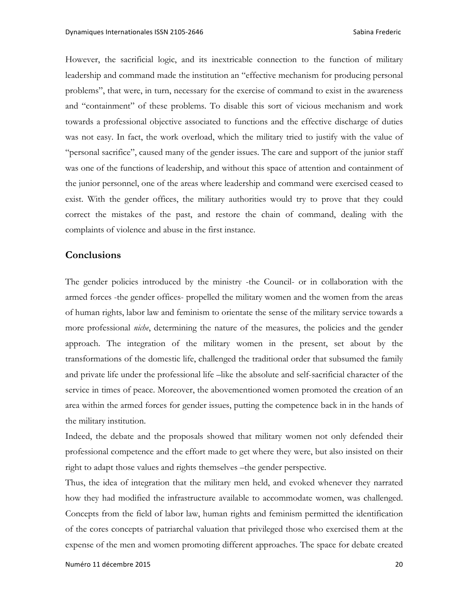However, the sacrificial logic, and its inextricable connection to the function of military leadership and command made the institution an "effective mechanism for producing personal problems", that were, in turn, necessary for the exercise of command to exist in the awareness and "containment" of these problems. To disable this sort of vicious mechanism and work towards a professional objective associated to functions and the effective discharge of duties was not easy. In fact, the work overload, which the military tried to justify with the value of "personal sacrifice", caused many of the gender issues. The care and support of the junior staff was one of the functions of leadership, and without this space of attention and containment of the junior personnel, one of the areas where leadership and command were exercised ceased to exist. With the gender offices, the military authorities would try to prove that they could correct the mistakes of the past, and restore the chain of command, dealing with the complaints of violence and abuse in the first instance.

#### **Conclusions**

The gender policies introduced by the ministry -the Council- or in collaboration with the armed forces -the gender offices- propelled the military women and the women from the areas of human rights, labor law and feminism to orientate the sense of the military service towards a more professional *niche*, determining the nature of the measures, the policies and the gender approach. The integration of the military women in the present, set about by the transformations of the domestic life, challenged the traditional order that subsumed the family and private life under the professional life –like the absolute and self-sacrificial character of the service in times of peace. Moreover, the abovementioned women promoted the creation of an area within the armed forces for gender issues, putting the competence back in in the hands of the military institution.

Indeed, the debate and the proposals showed that military women not only defended their professional competence and the effort made to get where they were, but also insisted on their right to adapt those values and rights themselves –the gender perspective.

Thus, the idea of integration that the military men held, and evoked whenever they narrated how they had modified the infrastructure available to accommodate women, was challenged. Concepts from the field of labor law, human rights and feminism permitted the identification of the cores concepts of patriarchal valuation that privileged those who exercised them at the expense of the men and women promoting different approaches. The space for debate created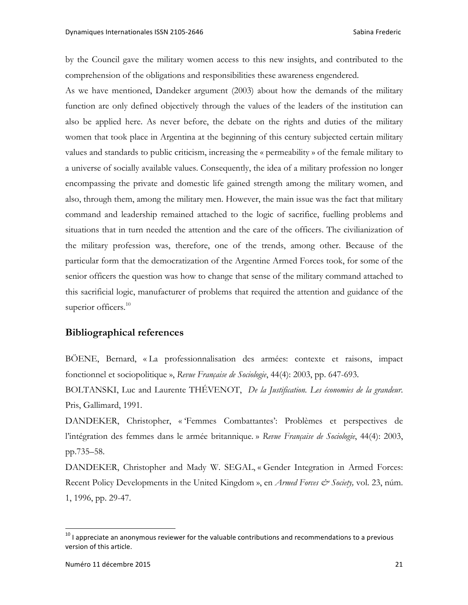by the Council gave the military women access to this new insights, and contributed to the comprehension of the obligations and responsibilities these awareness engendered.

As we have mentioned, Dandeker argument (2003) about how the demands of the military function are only defined objectively through the values of the leaders of the institution can also be applied here. As never before, the debate on the rights and duties of the military women that took place in Argentina at the beginning of this century subjected certain military values and standards to public criticism, increasing the « permeability » of the female military to a universe of socially available values. Consequently, the idea of a military profession no longer encompassing the private and domestic life gained strength among the military women, and also, through them, among the military men. However, the main issue was the fact that military command and leadership remained attached to the logic of sacrifice, fuelling problems and situations that in turn needed the attention and the care of the officers. The civilianization of the military profession was, therefore, one of the trends, among other. Because of the particular form that the democratization of the Argentine Armed Forces took, for some of the senior officers the question was how to change that sense of the military command attached to this sacrificial logic, manufacturer of problems that required the attention and guidance of the superior officers. $10$ 

#### **Bibliographical references**

BÖENE, Bernard, « La professionnalisation des armées: contexte et raisons, impact fonctionnel et sociopolitique », *Revue Française de Sociologie*, 44(4): 2003, pp. 647-693.

BOLTANSKI, Luc and Laurente THÉVENOT, *De la Justification. Les économies de la grandeur*. Pris, Gallimard, 1991.

DANDEKER, Christopher, « 'Femmes Combattantes': Problèmes et perspectives de l'intégration des femmes dans le armée britannique. » *Revue Française de Sociologie*, 44(4): 2003, pp.735–58.

DANDEKER, Christopher and Mady W. SEGAL, « Gender Integration in Armed Forces: Recent Policy Developments in the United Kingdom », en *Armed Forces & Society*, vol. 23, núm. 1, 1996, pp. 29-47.

 $^{10}$  I appreciate an anonymous reviewer for the valuable contributions and recommendations to a previous version of this article.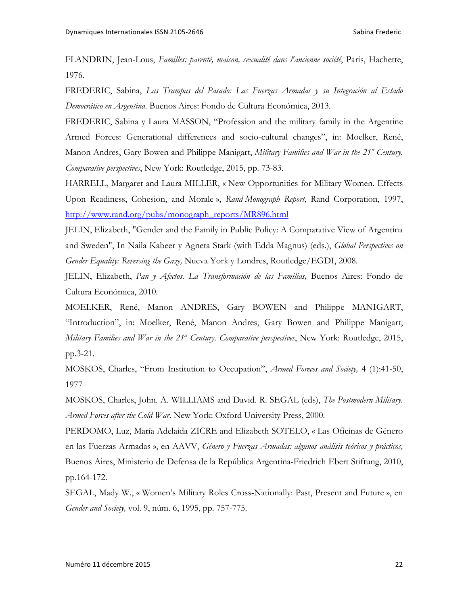FLANDRIN, Jean-Lous, *Familles: parenté, maison, sexualité dans l'ancienne société*, París, Hachette, 1976.

FREDERIC, Sabina, *Las Trampas del Pasado: Las Fuerzas Armadas y su Integración al Estado Democrático en Argentina.* Buenos Aires: Fondo de Cultura Económica, 2013.

FREDERIC, Sabina y Laura MASSON, "Profession and the military family in the Argentine Armed Forces: Generational differences and socio-cultural changes", in: Moelker, René, Manon Andres, Gary Bowen and Philippe Manigart, *Military Families and War in the 21<sup>st</sup> Century*. *Comparative perspectives*, New York: Routledge, 2015, pp. 73-83.

HARRELL, Margaret and Laura MILLER, « New Opportunities for Military Women. Effects Upon Readiness, Cohesion, and Morale », *Rand Monograph Report*, Rand Corporation, 1997, http://www.rand.org/pubs/monograph\_reports/MR896.html

JELIN, Elizabeth, "Gender and the Family in Public Policy: A Comparative View of Argentina and Sweden", In Naila Kabeer y Agneta Stark (with Edda Magnus) (eds.), *Global Perspectives on Gender Equality: Reversing the Gaze,* Nueva York y Londres, Routledge/EGDI, 2008.

JELIN, Elizabeth, *Pan y Afectos. La Transformación de las Familias,* Buenos Aires: Fondo de Cultura Económica, 2010.

MOELKER, René, Manon ANDRES, Gary BOWEN and Philippe MANIGART, "Introduction", in: Moelker, René, Manon Andres, Gary Bowen and Philippe Manigart, *Military Families and War in the 21<sup>st</sup> Century. Comparative perspectives, New York: Routledge, 2015,* pp.3-21.

MOSKOS, Charles, "From Institution to Occupation", *Armed Foreces and Society,* 4 (1):41-50, 1977

MOSKOS, Charles, John. A. WILLIAMS and David. R. SEGAL (eds), *The Postmodern Military. Armed Forces after the Cold War*. New York: Oxford University Press, 2000.

PERDOMO, Luz, María Adelaida ZICRE and Elizabeth SOTELO, « Las Oficinas de Género en las Fuerzas Armadas », en AAVV, *Género y Fuerzas Armadas: algunos análisis teóricos y prácticos,* Buenos Aires, Ministerio de Defensa de la República Argentina-Friedrich Ebert Stiftung, 2010, pp.164-172.

SEGAL, Mady W., « Women's Military Roles Cross-Nationally: Past, Present and Future », en *Gender and Society,* vol. 9, núm. 6, 1995, pp. 757-775.